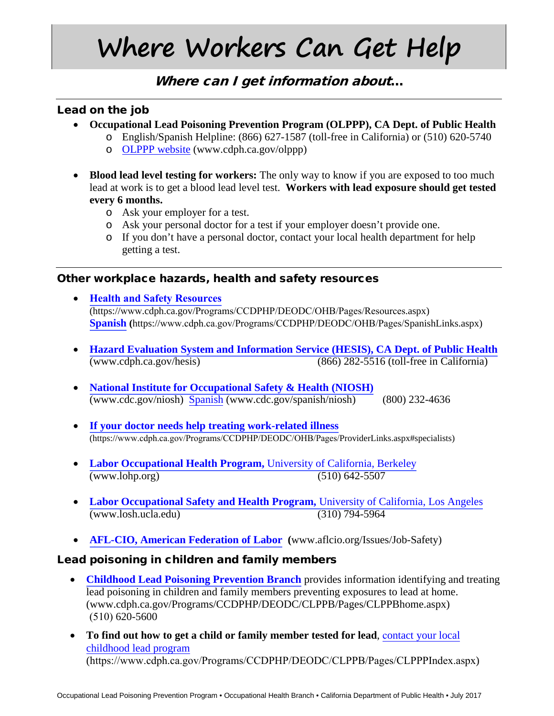# **Where Workers Can Get Help**

## Where can I get information about...

#### Lead on the job

- **Occupational Lead Poisoning Prevention Program (OLPPP), CA Dept. of Public Health**
	- o English/Spanish Helpline: (866) 627-1587 (toll-free in California) or (510) 620-5740
	- o [OLPPP website](http://www.cdph.ca.gov/OLPPP) (www.cdph.ca.gov/olppp)
- **Blood lead level testing for workers:** The only way to know if you are exposed to too much lead at work is to get a blood lead level test. **Workers with lead exposure should get tested every 6 months.**
	- o Ask your employer for a test.
	- o Ask your personal doctor for a test if your employer doesn't provide one.
	- o If you don't have a personal doctor, contact your local health department for help getting a test.

#### Other workplace hazards, health and safety resources

- **[Health and Safety Resources](https://archive.cdph.ca.gov/HealthInfo/workplace/Pages/WorkerLinks.aspx)** (https://www.cdph.ca.gov/Programs/CCDPHP/DEODC/OHB/Pages/Resources.aspx) **[Spanish](https://www.cdph.ca.gov/Programs/CCDPHP/DEODC/OHB/Pages/SpanishLinks.aspx) (**https://www.cdph.ca.gov/Programs/CCDPHP/DEODC/OHB/Pages/SpanishLinks.aspx)
- **[Hazard Evaluation System and Information Service \(HESIS\), CA Dept. of Public Healt](www.cdph.ca.gov/hesis)[h](http://www.cdph.ca.gov/hesis)** (www.cdph.ca.gov/hesis) (866) 282-5516 (toll-free in California)
- **[National Institute for Occupational Safety](www.cdc.gov/niosh) & Health (NIOSH)** (www.cdc.gov/niosh) [Spanish](http://www.cdc.gov/spanish/niosh) (www.cdc.gov/spanish/niosh) (800) 232-4636
- **[If your doctor needs help treating work-related illness](https://www.cdph.ca.gov/Programs/CCDPHP/DEODC/OHB/Pages/ProviderLinks.aspx#specialists)** (https://www.cdph.ca.gov/Programs/CCDPHP/DEODC/OHB/Pages/ProviderLinks.aspx#specialists)
- **[Labor Occupational Health Program,](http://www.lohp.org/)** University of California, Berkeley (www.lohp.org) (510) 642-5507
- **[Labor Occupational Safety and Health Program,](http://www.losh.ucla.edu/)** University of California, Los Angeles (www.losh.ucla.edu) (310) 794-5964
- **[AFL-CIO, American Federation](http://www.aflcio.org/Issues/Job-Safety) of Labor (**www.aflcio.org/Issues/Job-Safety)

#### Lead poisoning in children and family members

- **[Childhood Lead Poisoning Prevention Branch](http://www.cdph.ca.gov/Programs/CCDPHP/DEODC/CLPPB/Pages/CLPPBhome.aspx)** provides information identifying and treating lead poisoning in children and family members preventing exposures to lead at home. (www.cdph.ca.gov/Programs/CCDPHP/DEODC/CLPPB/Pages/CLPPBhome.aspx) (510) 620-5600
- **[To find out how to get a child or family member tested for lead](https://www.cdph.ca.gov/Programs/CCDPHP/DEODC/CLPPB/Pages/CLPPPIndex.aspx)**, c[ontact your local](https://archive.cdph.ca.gov/programs/CLPPB/Pages/CLPPPIndex.aspx) [childhood lead program](https://archive.cdph.ca.gov/programs/CLPPB/Pages/CLPPPIndex.aspx) (https://www.cdph.ca.gov/Programs/CCDPHP/DEODC/CLPPB/Pages/CLPPPIndex.aspx)